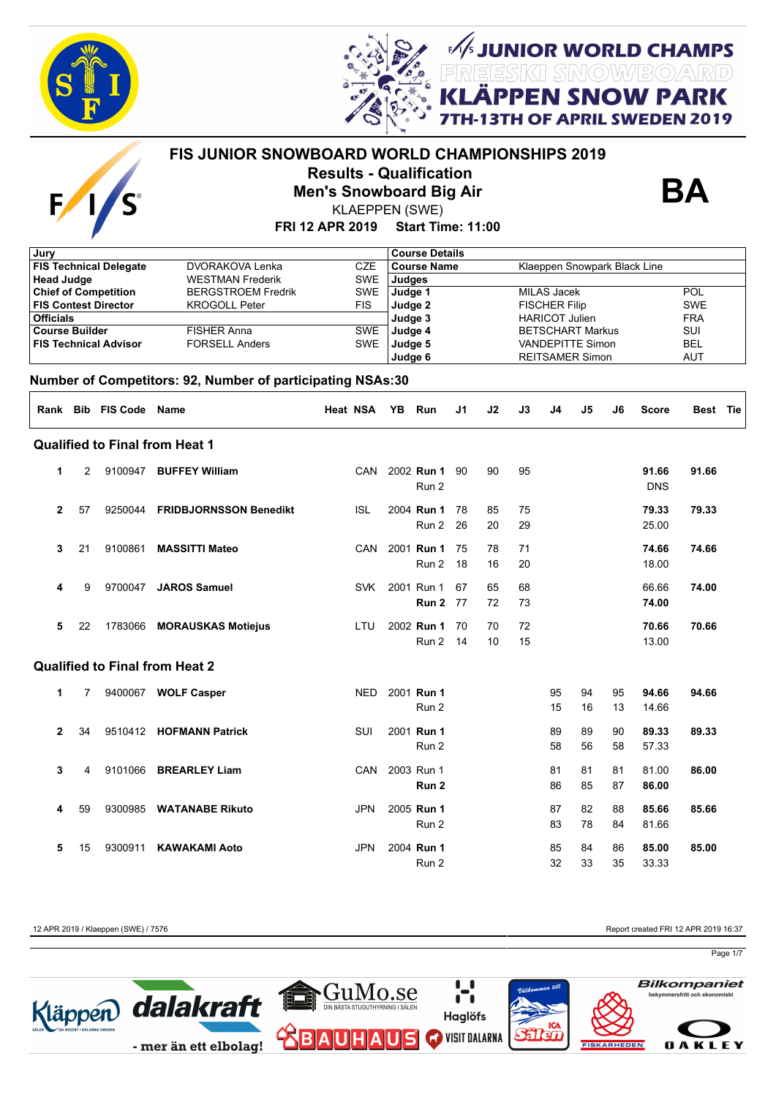

 $\overline{F}$ 



**APRIL SWEDEN 2019** 

## **FIS JUNIOR SNOWBOARD WORLD CHAMPIONSHIPS 2019 Results - Qualification Men's Snowboard Big Air**



**UNIOR WORLD CHAMPS<br>ESIKI SNOWBOARD** 

**SNOW PARK** 

KLAEPPEN (SWE)

### **FRI 12 APR 2019 Start Time: 11:00**

| Jury                  |                |                               |                                                            |                 |               |                                                                             |    |    |    |                       |                         |    |              |            |  |
|-----------------------|----------------|-------------------------------|------------------------------------------------------------|-----------------|---------------|-----------------------------------------------------------------------------|----|----|----|-----------------------|-------------------------|----|--------------|------------|--|
|                       |                | <b>FIS Technical Delegate</b> | <b>DVORAKOVA Lenka</b>                                     | <b>CZE</b>      |               | <b>Course Details</b><br><b>Course Name</b><br>Klaeppen Snowpark Black Line |    |    |    |                       |                         |    |              |            |  |
| <b>Head Judge</b>     |                |                               | <b>WESTMAN Frederik</b>                                    | <b>SWE</b>      | <b>Judges</b> |                                                                             |    |    |    |                       |                         |    |              |            |  |
|                       |                |                               |                                                            |                 |               |                                                                             |    |    |    |                       |                         |    |              | <b>POL</b> |  |
|                       |                | <b>Chief of Competition</b>   | <b>BERGSTROEM Fredrik</b>                                  | <b>SWE</b>      | Judge 1       |                                                                             |    |    |    | <b>MILAS Jacek</b>    |                         |    |              |            |  |
|                       |                | <b>FIS Contest Director</b>   | <b>KROGOLL Peter</b>                                       | <b>FIS</b>      | Judge 2       |                                                                             |    |    |    | <b>FISCHER Filip</b>  |                         |    |              | <b>SWE</b> |  |
| <b>Officials</b>      |                |                               |                                                            |                 | Judge 3       |                                                                             |    |    |    | <b>HARICOT Julien</b> |                         |    |              | <b>FRA</b> |  |
| <b>Course Builder</b> |                |                               | <b>FISHER Anna</b>                                         | <b>SWE</b>      | Judge 4       |                                                                             |    |    |    |                       | <b>BETSCHART Markus</b> |    |              | SUI        |  |
|                       |                | <b>FIS Technical Advisor</b>  | <b>FORSELL Anders</b>                                      | <b>SWE</b>      | Judge 5       |                                                                             |    |    |    |                       | <b>VANDEPITTE Simon</b> |    |              | <b>BEL</b> |  |
|                       |                |                               |                                                            |                 | Judge 6       |                                                                             |    |    |    |                       | <b>REITSAMER Simon</b>  |    |              | <b>AUT</b> |  |
|                       |                |                               | Number of Competitors: 92, Number of participating NSAs:30 |                 |               |                                                                             |    |    |    |                       |                         |    |              |            |  |
|                       |                | Rank Bib FIS Code Name        |                                                            | <b>Heat NSA</b> | YB.           | Run                                                                         | J1 | J2 | J3 | J4                    | J5                      | J6 | <b>Score</b> | Best Tie   |  |
|                       |                |                               | <b>Qualified to Final from Heat 1</b>                      |                 |               |                                                                             |    |    |    |                       |                         |    |              |            |  |
| 1                     | $\overline{2}$ |                               | 9100947 BUFFEY William                                     | <b>CAN</b>      |               | 2002 Run 1                                                                  | 90 | 90 | 95 |                       |                         |    | 91.66        | 91.66      |  |
|                       |                |                               |                                                            |                 |               | Run 2                                                                       |    |    |    |                       |                         |    | <b>DNS</b>   |            |  |
| $\mathbf{2}$          | 57             | 9250044                       | <b>FRIDBJORNSSON Benedikt</b>                              | <b>ISL</b>      |               | 2004 Run 1                                                                  | 78 | 85 | 75 |                       |                         |    | 79.33        | 79.33      |  |
|                       |                |                               |                                                            |                 |               | Run 2                                                                       | 26 | 20 | 29 |                       |                         |    | 25.00        |            |  |
| 3                     | 21             | 9100861                       | <b>MASSITTI Mateo</b>                                      | CAN             |               | 2001 Run 1                                                                  | 75 | 78 | 71 |                       |                         |    | 74.66        | 74.66      |  |
|                       |                |                               |                                                            |                 |               | Run 2                                                                       | 18 | 16 | 20 |                       |                         |    | 18.00        |            |  |
|                       |                |                               |                                                            |                 |               |                                                                             |    |    |    |                       |                         |    |              |            |  |
| 4                     | 9              | 9700047                       | <b>JAROS Samuel</b>                                        | <b>SVK</b>      |               | 2001 Run 1                                                                  | 67 | 65 | 68 |                       |                         |    | 66.66        | 74.00      |  |
|                       |                |                               |                                                            |                 |               | Run 2                                                                       | 77 | 72 | 73 |                       |                         |    | 74.00        |            |  |
| 5                     | 22             | 1783066                       | <b>MORAUSKAS Motiejus</b>                                  | LTU             |               | 2002 Run 1                                                                  | 70 | 70 | 72 |                       |                         |    | 70.66        | 70.66      |  |
|                       |                |                               |                                                            |                 |               | Run 2                                                                       | 14 | 10 | 15 |                       |                         |    | 13.00        |            |  |
|                       |                |                               | <b>Qualified to Final from Heat 2</b>                      |                 |               |                                                                             |    |    |    |                       |                         |    |              |            |  |
| 1                     | 7              |                               | 9400067 WOLF Casper                                        | <b>NED</b>      |               | 2001 Run 1                                                                  |    |    |    | 95                    | 94                      | 95 | 94.66        | 94.66      |  |
|                       |                |                               |                                                            |                 |               | Run 2                                                                       |    |    |    | 15                    | 16                      | 13 | 14.66        |            |  |
|                       |                |                               |                                                            |                 |               |                                                                             |    |    |    |                       |                         |    |              |            |  |
| 2                     | 34             |                               | 9510412 HOFMANN Patrick                                    | SUI             |               | 2001 Run 1                                                                  |    |    |    | 89                    | 89                      | 90 | 89.33        | 89.33      |  |
|                       |                |                               |                                                            |                 |               | Run 2                                                                       |    |    |    | 58                    | 56                      | 58 | 57.33        |            |  |
| 3                     | 4              | 9101066                       | <b>BREARLEY Liam</b>                                       | <b>CAN</b>      |               | 2003 Run 1                                                                  |    |    |    | 81                    | 81                      | 81 | 81.00        | 86.00      |  |
|                       |                |                               |                                                            |                 |               | Run <sub>2</sub>                                                            |    |    |    | 86                    | 85                      | 87 | 86.00        |            |  |
| 4                     | 59             |                               | 9300985 WATANABE Rikuto                                    | <b>JPN</b>      |               | 2005 Run 1                                                                  |    |    |    | 87                    | 82                      | 88 | 85.66        | 85.66      |  |
|                       |                |                               |                                                            |                 |               | Run 2                                                                       |    |    |    | 83                    | 78                      | 84 | 81.66        |            |  |
| 5                     | 15             | 9300911                       | <b>KAWAKAMI Aoto</b>                                       | JPN             |               | 2004 Run 1                                                                  |    |    |    | 85                    | 84                      | 86 | 85.00        | 85.00      |  |
|                       |                |                               |                                                            |                 |               | Run 2                                                                       |    |    |    | 32                    | 33                      | 35 | 33.33        |            |  |
|                       |                |                               |                                                            |                 |               |                                                                             |    |    |    |                       |                         |    |              |            |  |

12 APR 2019 / Klaeppen (SWE) / 7576 Report created FRI 12 APR 2019 16:37

Page 1/7

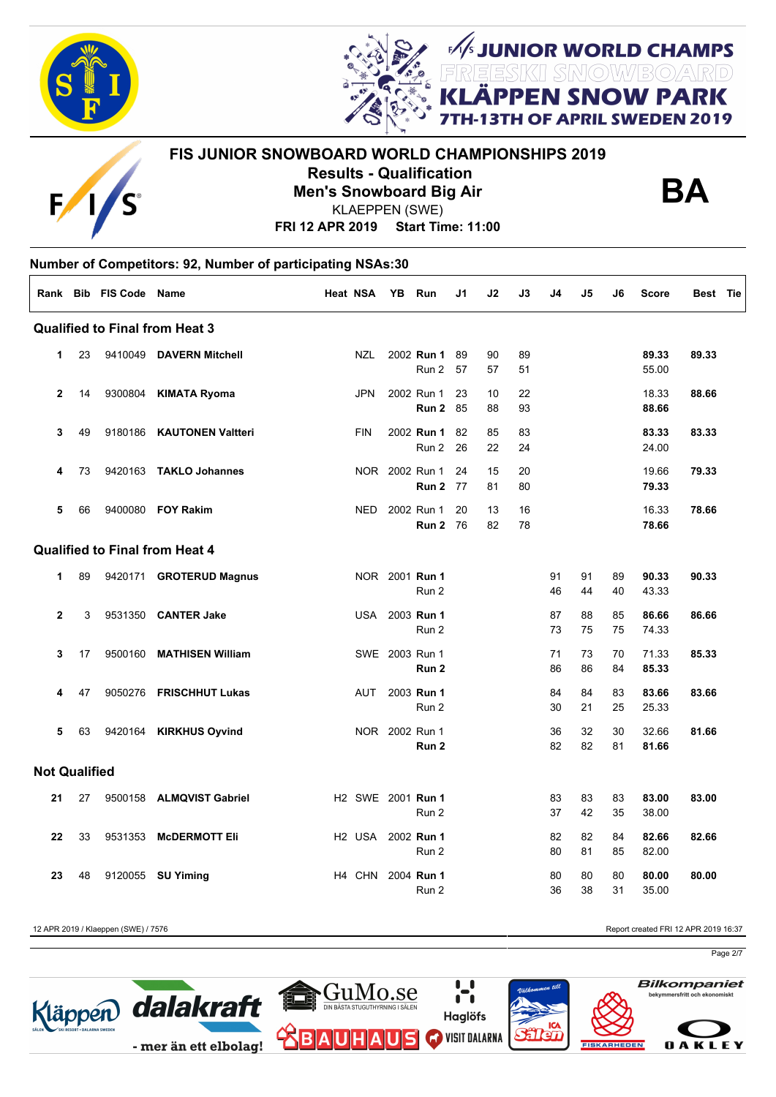



# **FIS JUNIOR SNOWBOARD WORLD CHAMPIONSHIPS 2019 Results - Qualification Men's Snowboard Big Air**



**UNIOR WORLD CHAMPS<br>ESKI SMOW/BOARD** 

**SNOW PARK FAPRIL SWEDEN 2019** 

**FRI 12 APR 2019 Start Time: 11:00** KLAEPPEN (SWE)

|                      |    | Rank Bib FIS Code Name |                                       | <b>Heat NSA</b>                      | YB Run                        | J1         | J2       | J3       | J <sub>4</sub> | J5       | J6       | <b>Score</b>   | Best Tie |  |
|----------------------|----|------------------------|---------------------------------------|--------------------------------------|-------------------------------|------------|----------|----------|----------------|----------|----------|----------------|----------|--|
|                      |    |                        | <b>Qualified to Final from Heat 3</b> |                                      |                               |            |          |          |                |          |          |                |          |  |
| 1                    | 23 |                        | 9410049 DAVERN Mitchell               | <b>NZL</b>                           | 2002 Run 1<br>Run 2           | 89<br>57   | 90<br>57 | 89<br>51 |                |          |          | 89.33<br>55.00 | 89.33    |  |
| $\overline{2}$       | 14 | 9300804                | <b>KIMATA Ryoma</b>                   | <b>JPN</b>                           | 2002 Run 1<br><b>Run 2 85</b> | 23         | 10<br>88 | 22<br>93 |                |          |          | 18.33<br>88.66 | 88.66    |  |
| 3                    | 49 | 9180186                | <b>KAUTONEN Valtteri</b>              | <b>FIN</b>                           | 2002 Run 1<br>Run 2           | 82<br>26   | 85<br>22 | 83<br>24 |                |          |          | 83.33<br>24.00 | 83.33    |  |
| 4                    | 73 |                        | 9420163 TAKLO Johannes                |                                      | NOR 2002 Run 1<br>Run 2       | 24<br>77   | 15<br>81 | 20<br>80 |                |          |          | 19.66<br>79.33 | 79.33    |  |
| 5                    | 66 |                        | 9400080 FOY Rakim                     | <b>NED</b>                           | 2002 Run 1<br>Run 2           | 20<br>- 76 | 13<br>82 | 16<br>78 |                |          |          | 16.33<br>78.66 | 78.66    |  |
|                      |    |                        | <b>Qualified to Final from Heat 4</b> |                                      |                               |            |          |          |                |          |          |                |          |  |
| 1                    | 89 |                        | 9420171 GROTERUD Magnus               |                                      | NOR 2001 Run 1<br>Run 2       |            |          |          | 91<br>46       | 91<br>44 | 89<br>40 | 90.33<br>43.33 | 90.33    |  |
| $\mathbf{2}$         | 3  | 9531350                | <b>CANTER Jake</b>                    | <b>USA</b>                           | 2003 Run 1<br>Run 2           |            |          |          | 87<br>73       | 88<br>75 | 85<br>75 | 86.66<br>74.33 | 86.66    |  |
| 3                    | 17 | 9500160                | <b>MATHISEN William</b>               |                                      | SWE 2003 Run 1<br>Run 2       |            |          |          | 71<br>86       | 73<br>86 | 70<br>84 | 71.33<br>85.33 | 85.33    |  |
| 4                    | 47 |                        | 9050276 FRISCHHUT Lukas               | <b>AUT</b>                           | 2003 Run 1<br>Run 2           |            |          |          | 84<br>30       | 84<br>21 | 83<br>25 | 83.66<br>25.33 | 83.66    |  |
| 5                    | 63 | 9420164                | <b>KIRKHUS Oyvind</b>                 |                                      | NOR 2002 Run 1<br>Run 2       |            |          |          | 36<br>82       | 32<br>82 | 30<br>81 | 32.66<br>81.66 | 81.66    |  |
| <b>Not Qualified</b> |    |                        |                                       |                                      |                               |            |          |          |                |          |          |                |          |  |
| 21                   | 27 |                        | 9500158 ALMQVIST Gabriel              | H <sub>2</sub> SWE 2001 <b>Run 1</b> | Run 2                         |            |          |          | 83<br>37       | 83<br>42 | 83<br>35 | 83.00<br>38.00 | 83.00    |  |
| 22                   | 33 | 9531353                | <b>MCDERMOTT Eli</b>                  | H <sub>2</sub> USA                   | 2002 Run 1<br>Run 2           |            |          |          | 82<br>80       | 82<br>81 | 84<br>85 | 82.66<br>82.00 | 82.66    |  |
| 23                   | 48 | 9120055                | <b>SU Yiming</b>                      | H4 CHN                               | 2004 <b>Run 1</b><br>Run 2    |            |          |          | 80<br>36       | 80<br>38 | 80<br>31 | 80.00<br>35.00 | 80.00    |  |

12 APR 2019 / Klaeppen (SWE) / 7576 Report created FRI 12 APR 2019 16:37

Page 2/7

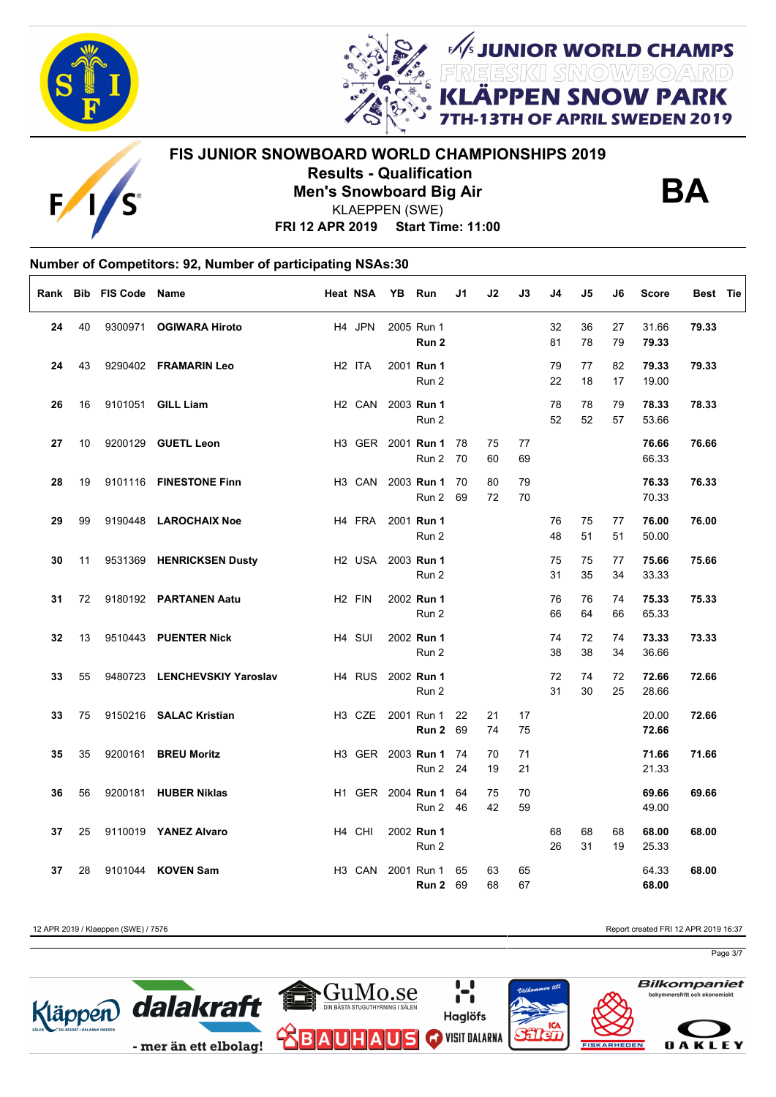

E



**FIS JUNIOR SNOWBOARD WORLD CHAMPIONSHIPS 2019 Results - Qualification Men's Snowboard Big Air**



**JUNIOR WORLD CHAMPS<br>EESKII SMOW/BO/ARD<br># DDLLL ALLOULL DADIE** 

**I SNOW PARK** 

OF APRIL SWEDEN 2019

**FRI 12 APR 2019 Start Time: 11:00** KLAEPPEN (SWE)

### **Number of Competitors: 92, Number of participating NSAs:30**  $\Gamma$

|    |    | Rank Bib FIS Code Name |                              | <b>Heat NSA</b>    | YB Run                                        | J1       | J2       | J3       | J4       | J5       | J6       | <b>Score</b>   | Best Tie |
|----|----|------------------------|------------------------------|--------------------|-----------------------------------------------|----------|----------|----------|----------|----------|----------|----------------|----------|
| 24 | 40 |                        | 9300971 OGIWARA Hiroto       | H4 JPN             | 2005 Run 1<br>Run 2                           |          |          |          | 32<br>81 | 36<br>78 | 27<br>79 | 31.66<br>79.33 | 79.33    |
| 24 | 43 |                        | 9290402 FRAMARIN Leo         | H <sub>2</sub> ITA | 2001 Run 1<br>Run 2                           |          |          |          | 79<br>22 | 77<br>18 | 82<br>17 | 79.33<br>19.00 | 79.33    |
| 26 | 16 |                        | 9101051 GILL Liam            | H <sub>2</sub> CAN | 2003 Run 1<br>Run 2                           |          |          |          | 78<br>52 | 78<br>52 | 79<br>57 | 78.33<br>53.66 | 78.33    |
| 27 | 10 |                        | 9200129 GUETL Leon           |                    | H3 GER 2001 Run 1 78<br>Run 2 70              |          | 75<br>60 | 77<br>69 |          |          |          | 76.66<br>66.33 | 76.66    |
| 28 | 19 |                        | 9101116 FINESTONE Finn       |                    | H3 CAN 2003 Run 1<br>Run 2                    | 70<br>69 | 80<br>72 | 79<br>70 |          |          |          | 76.33<br>70.33 | 76.33    |
| 29 | 99 |                        | 9190448 LAROCHAIX Noe        |                    | H4 FRA 2001 <b>Run 1</b><br>Run 2             |          |          |          | 76<br>48 | 75<br>51 | 77<br>51 | 76.00<br>50.00 | 76.00    |
| 30 | 11 |                        | 9531369 HENRICKSEN Dusty     |                    | H <sub>2</sub> USA 2003 <b>Run 1</b><br>Run 2 |          |          |          | 75<br>31 | 75<br>35 | 77<br>34 | 75.66<br>33.33 | 75.66    |
| 31 | 72 |                        | 9180192 PARTANEN Aatu        | H <sub>2</sub> FIN | 2002 Run 1<br>Run 2                           |          |          |          | 76<br>66 | 76<br>64 | 74<br>66 | 75.33<br>65.33 | 75.33    |
| 32 | 13 |                        | 9510443 PUENTER Nick         | H <sub>4</sub> SUI | 2002 Run 1<br>Run 2                           |          |          |          | 74<br>38 | 72<br>38 | 74<br>34 | 73.33<br>36.66 | 73.33    |
| 33 | 55 |                        | 9480723 LENCHEVSKIY Yaroslav |                    | H4 RUS 2002 Run 1<br>Run 2                    |          |          |          | 72<br>31 | 74<br>30 | 72<br>25 | 72.66<br>28.66 | 72.66    |
| 33 | 75 |                        | 9150216 SALAC Kristian       |                    | H3 CZE 2001 Run 1<br><b>Run 2 69</b>          | 22       | 21<br>74 | 17<br>75 |          |          |          | 20.00<br>72.66 | 72.66    |
| 35 | 35 |                        | 9200161 BREU Moritz          |                    | H3 GER 2003 Run 1<br>Run 2 24                 | 74       | 70<br>19 | 71<br>21 |          |          |          | 71.66<br>21.33 | 71.66    |
| 36 | 56 |                        | 9200181 HUBER Niklas         |                    | H1 GER 2004 Run 1<br>Run 2                    | 64<br>46 | 75<br>42 | 70<br>59 |          |          |          | 69.66<br>49.00 | 69.66    |
| 37 | 25 |                        | 9110019 YANEZ Alvaro         | H4 CHI             | 2002 Run 1<br>Run 2                           |          |          |          | 68<br>26 | 68<br>31 | 68<br>19 | 68.00<br>25.33 | 68.00    |
| 37 | 28 |                        | 9101044 KOVEN Sam            | H <sub>3</sub> CAN | 2001 Run 1<br><b>Run 2 69</b>                 | 65       | 63<br>68 | 65<br>67 |          |          |          | 64.33<br>68.00 | 68.00    |

12 APR 2019 / Klaeppen (SWE) / 7576 Report created FRI 12 APR 2019 16:37

Page 3/7

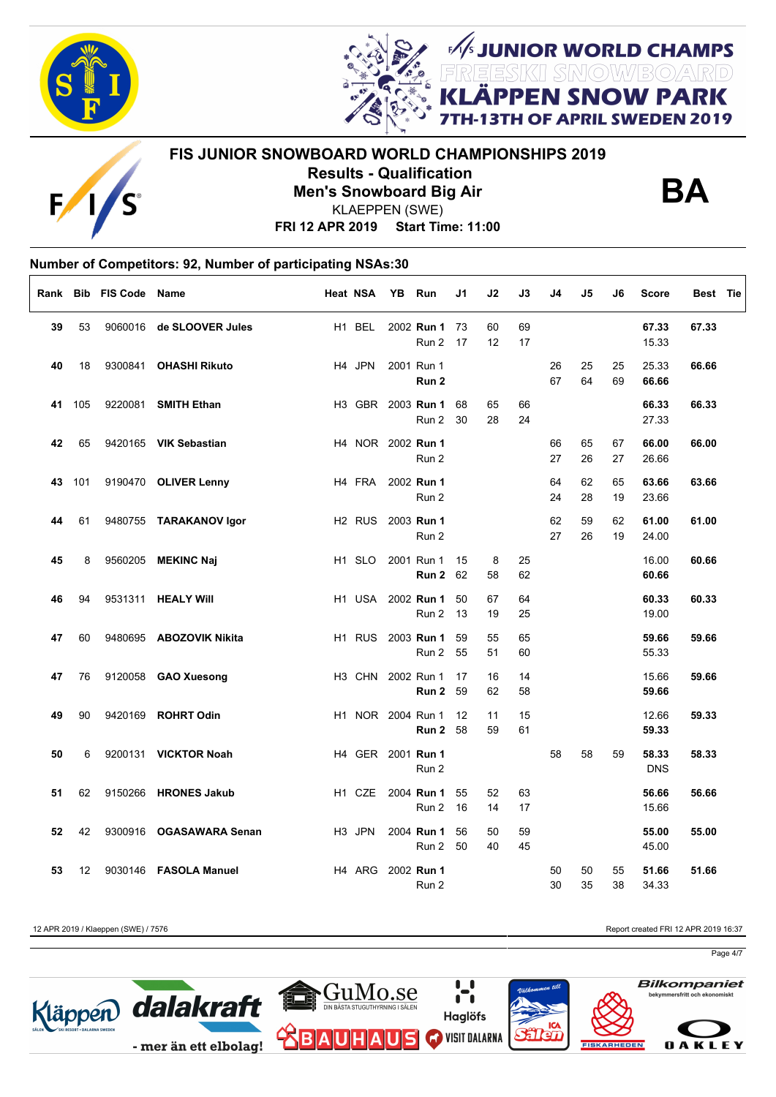



**FIS JUNIOR SNOWBOARD WORLD CHAMPIONSHIPS 2019 Results - Qualification**



**Men's Snowboard Big Air** KLAEPPEN (SWE)

**FRI 12 APR 2019 Start Time: 11:00**

# **Number of Competitors: 92, Number of participating NSAs:30**

| Rank |     | <b>Bib FIS Code</b> | Name                     | Heat NSA           | YB | Run                        | J1       | J2       | J3       | J4 | J5 | J6 | <b>Score</b>   | Best Tie |  |
|------|-----|---------------------|--------------------------|--------------------|----|----------------------------|----------|----------|----------|----|----|----|----------------|----------|--|
| 39   | 53  |                     | 9060016 de SLOOVER Jules | H1 BEL             |    | 2002 Run 1                 | 73       | 60       | 69       |    |    |    | 67.33          | 67.33    |  |
|      |     |                     |                          |                    |    | Run 2                      | 17       | 12       | 17       |    |    |    | 15.33          |          |  |
| 40   | 18  | 9300841             | <b>OHASHI Rikuto</b>     | H4 JPN             |    | 2001 Run 1                 |          |          |          | 26 | 25 | 25 | 25.33          | 66.66    |  |
|      |     |                     |                          |                    |    | Run 2                      |          |          |          | 67 | 64 | 69 | 66.66          |          |  |
| 41   | 105 | 9220081             | <b>SMITH Ethan</b>       |                    |    | H3 GBR 2003 Run 1          | 68       | 65       | 66       |    |    |    | 66.33          | 66.33    |  |
|      |     |                     |                          |                    |    | Run 2                      | 30       | 28       | 24       |    |    |    | 27.33          |          |  |
| 42   | 65  |                     | 9420165 VIK Sebastian    | H4 NOR 2002 Run 1  |    |                            |          |          |          | 66 | 65 | 67 | 66.00          | 66.00    |  |
|      |     |                     |                          |                    |    | Run 2                      |          |          |          | 27 | 26 | 27 | 26.66          |          |  |
| 43   | 101 |                     | 9190470 OLIVER Lenny     | H4 FRA             |    | 2002 Run 1                 |          |          |          | 64 | 62 | 65 | 63.66          | 63.66    |  |
|      |     |                     |                          |                    |    | Run 2                      |          |          |          | 24 | 28 | 19 | 23.66          |          |  |
| 44   | 61  |                     | 9480755 TARAKANOV Igor   | H2 RUS 2003 Run 1  |    |                            |          |          |          | 62 | 59 | 62 | 61.00          | 61.00    |  |
|      |     |                     |                          |                    |    | Run 2                      |          |          |          | 27 | 26 | 19 | 24.00          |          |  |
| 45   | 8   |                     | 9560205 MEKINC Naj       | H <sub>1</sub> SLO |    | 2001 Run 1                 | 15       | 8        | 25       |    |    |    | 16.00          | 60.66    |  |
|      |     |                     |                          |                    |    | Run 2                      | 62       | 58       | 62       |    |    |    | 60.66          |          |  |
|      |     |                     |                          |                    |    |                            |          |          | 64       |    |    |    |                |          |  |
| 46   | 94  |                     | 9531311 HEALY Will       |                    |    | H1 USA 2002 Run 1<br>Run 2 | 50<br>13 | 67<br>19 | 25       |    |    |    | 60.33<br>19.00 | 60.33    |  |
|      |     |                     |                          |                    |    |                            |          |          |          |    |    |    |                |          |  |
| 47   | 60  |                     | 9480695 ABOZOVIK Nikita  |                    |    | H1 RUS 2003 Run 1<br>Run 2 | 59<br>55 | 55<br>51 | 65<br>60 |    |    |    | 59.66<br>55.33 | 59.66    |  |
|      |     |                     |                          |                    |    |                            |          |          |          |    |    |    |                |          |  |
| 47   | 76  |                     | 9120058 GAO Xuesong      | H3 CHN 2002 Run 1  |    | Run 2                      | 17<br>59 | 16<br>62 | 14<br>58 |    |    |    | 15.66<br>59.66 | 59.66    |  |
|      |     |                     |                          |                    |    |                            |          |          |          |    |    |    |                |          |  |
| 49   | 90  |                     | 9420169 ROHRT Odin       | H1 NOR 2004 Run 1  |    | Run 2                      | 12<br>58 | 11<br>59 | 15<br>61 |    |    |    | 12.66<br>59.33 | 59.33    |  |
|      |     |                     |                          |                    |    |                            |          |          |          |    |    |    |                |          |  |
| 50   | 6   |                     | 9200131 VICKTOR Noah     | H4 GER 2001 Run 1  |    |                            |          |          |          | 58 | 58 | 59 | 58.33          | 58.33    |  |
|      |     |                     |                          |                    |    | Run 2                      |          |          |          |    |    |    | <b>DNS</b>     |          |  |
| 51   | 62  |                     | 9150266 HRONES Jakub     | H <sub>1</sub> CZE |    | 2004 Run 1                 | 55       | 52       | 63       |    |    |    | 56.66          | 56.66    |  |
|      |     |                     |                          |                    |    | Run 2                      | 16       | 14       | 17       |    |    |    | 15.66          |          |  |
| 52   | 42  |                     | 9300916 OGASAWARA Senan  | H <sub>3</sub> JPN |    | 2004 Run 1                 | 56       | 50       | 59       |    |    |    | 55.00          | 55.00    |  |
|      |     |                     |                          |                    |    | Run 2                      | 50       | 40       | 45       |    |    |    | 45.00          |          |  |
| 53   | 12  |                     | 9030146 FASOLA Manuel    | H4 ARG             |    | 2002 Run 1                 |          |          |          | 50 | 50 | 55 | 51.66          | 51.66    |  |
|      |     |                     |                          |                    |    | Run 2                      |          |          |          | 30 | 35 | 38 | 34.33          |          |  |

12 APR 2019 / Klaeppen (SWE) / 7576 Report created FRI 12 APR 2019 16:37

**BA**

**SUNIOR WORLD CHAMPS<br>REESKI SMOWBOARD<br>LÄPPEN SNOW PARK** 

OF APRIL SWEDEN 2019

Page 4/7

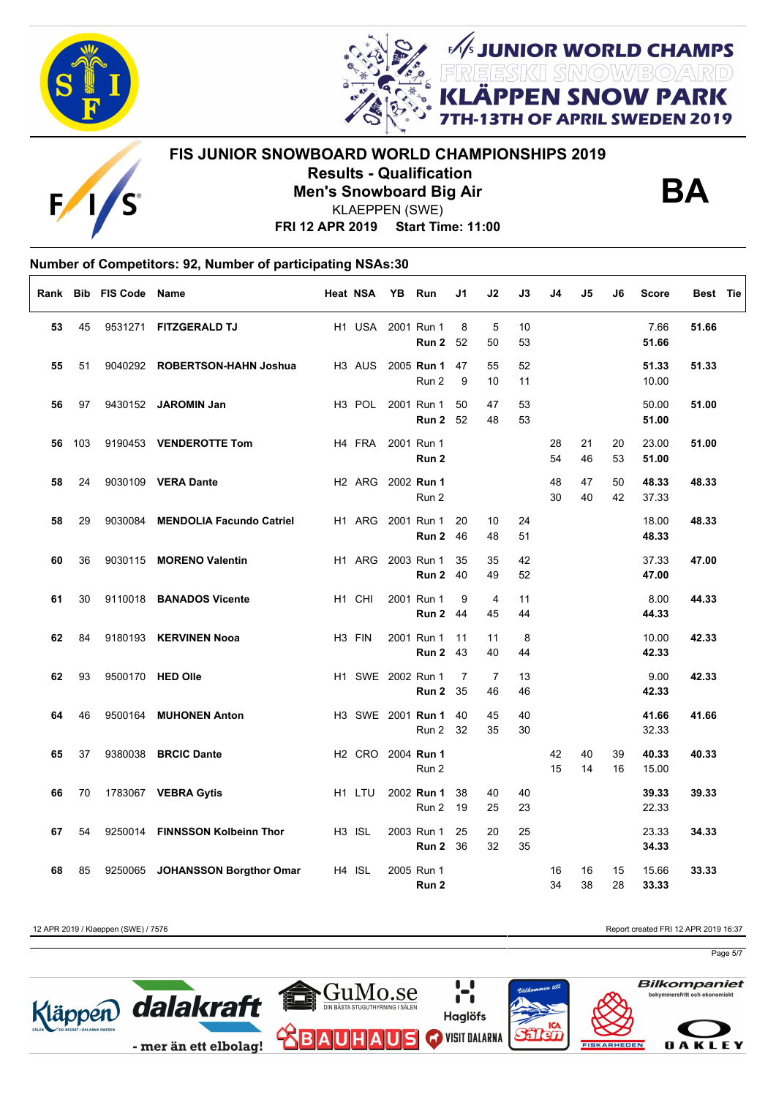

E



**FIS JUNIOR SNOWBOARD WORLD CHAMPIONSHIPS 2019 Results - Qualification Men's Snowboard Big Air**



**JUNIOR WORLD CHAMPS<br>EESKII SMOW/BO/ARD<br># DDLLL ALLOULL DADIE** 

**I SNOW PARK** 

OF APRIL SWEDEN 2019

**FRI 12 APR 2019 Start Time: 11:00** KLAEPPEN (SWE)

### **Number of Competitors: 92, Number of participating NSAs:30**  $\Gamma$

|    |     | Rank Bib FIS Code Name |                                 | <b>Heat NSA</b>    |                    | YB | Run                                  | J1       | J2                   | J3       | J4       | J5       | J6       | <b>Score</b>   | Best Tie |
|----|-----|------------------------|---------------------------------|--------------------|--------------------|----|--------------------------------------|----------|----------------------|----------|----------|----------|----------|----------------|----------|
| 53 | 45  |                        | 9531271 FITZGERALD TJ           |                    | H1 USA             |    | 2001 Run 1<br>Run 2                  | 8<br>52  | $\sqrt{5}$<br>50     | 10<br>53 |          |          |          | 7.66<br>51.66  | 51.66    |
| 55 | 51  |                        | 9040292 ROBERTSON-HAHN Joshua   |                    | H <sub>3</sub> AUS |    | 2005 Run 1<br>Run 2                  | 47<br>9  | 55<br>10             | 52<br>11 |          |          |          | 51.33<br>10.00 | 51.33    |
| 56 | 97  |                        | 9430152 JAROMIN Jan             |                    | H <sub>3</sub> POL |    | 2001 Run 1<br>Run 2                  | 50<br>52 | 47<br>48             | 53<br>53 |          |          |          | 50.00<br>51.00 | 51.00    |
| 56 | 103 |                        | 9190453 VENDEROTTE Tom          |                    | H4 FRA             |    | 2001 Run 1<br>Run 2                  |          |                      |          | 28<br>54 | 21<br>46 | 20<br>53 | 23.00<br>51.00 | 51.00    |
| 58 | 24  |                        | 9030109 VERA Dante              |                    | H <sub>2</sub> ARG |    | 2002 Run 1<br>Run 2                  |          |                      |          | 48<br>30 | 47<br>40 | 50<br>42 | 48.33<br>37.33 | 48.33    |
| 58 | 29  | 9030084                | <b>MENDOLIA Facundo Catriel</b> |                    | H <sub>1</sub> ARG |    | 2001 Run 1<br>Run 2                  | 20<br>46 | 10<br>48             | 24<br>51 |          |          |          | 18.00<br>48.33 | 48.33    |
| 60 | 36  |                        | 9030115 MORENO Valentin         |                    | H1 ARG             |    | 2003 Run 1<br><b>Run 2 40</b>        | 35       | 35<br>49             | 42<br>52 |          |          |          | 37.33<br>47.00 | 47.00    |
| 61 | 30  |                        | 9110018 BANADOS Vicente         | H1 CHI             |                    |    | 2001 Run 1<br><b>Run 2 44</b>        | 9        | $\overline{4}$<br>45 | 11<br>44 |          |          |          | 8.00<br>44.33  | 44.33    |
| 62 | 84  |                        | 9180193 KERVINEN Nooa           | H <sub>3</sub> FIN |                    |    | 2001 Run 1<br>Run 2                  | 11<br>43 | 11<br>40             | 8<br>44  |          |          |          | 10.00<br>42.33 | 42.33    |
| 62 | 93  |                        | 9500170 HED Olle                |                    |                    |    | H1 SWE 2002 Run 1<br><b>Run 2 35</b> | 7        | 7<br>46              | 13<br>46 |          |          |          | 9.00<br>42.33  | 42.33    |
| 64 | 46  |                        | 9500164 MUHONEN Anton           |                    |                    |    | H3 SWE 2001 Run 1<br>Run 2           | 40<br>32 | 45<br>35             | 40<br>30 |          |          |          | 41.66<br>32.33 | 41.66    |
| 65 | 37  |                        | 9380038 BRCIC Dante             |                    |                    |    | H2 CRO 2004 Run 1<br>Run 2           |          |                      |          | 42<br>15 | 40<br>14 | 39<br>16 | 40.33<br>15.00 | 40.33    |
| 66 | 70  |                        | 1783067 VEBRA Gytis             |                    | H1 LTU             |    | 2002 Run 1<br>Run 2                  | 38<br>19 | 40<br>25             | 40<br>23 |          |          |          | 39.33<br>22.33 | 39.33    |
| 67 | 54  |                        | 9250014 FINNSSON Kolbeinn Thor  | H <sub>3</sub> ISL |                    |    | 2003 Run 1<br><b>Run 2 36</b>        | 25       | 20<br>32             | 25<br>35 |          |          |          | 23.33<br>34.33 | 34.33    |
| 68 | 85  |                        | 9250065 JOHANSSON Borgthor Omar | H4 ISL             |                    |    | 2005 Run 1<br>Run 2                  |          |                      |          | 16<br>34 | 16<br>38 | 15<br>28 | 15.66<br>33.33 | 33.33    |

12 APR 2019 / Klaeppen (SWE) / 7576 Report created FRI 12 APR 2019 16:37

Page 5/7

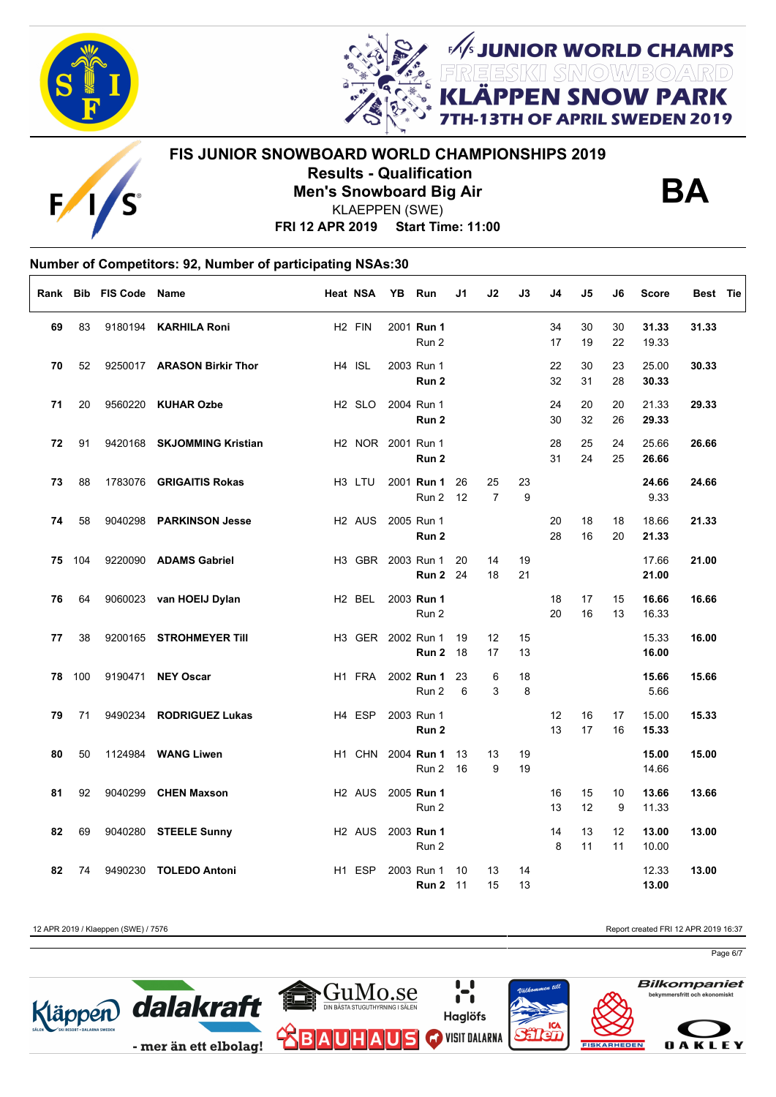



**FIS JUNIOR SNOWBOARD WORLD CHAMPIONSHIPS 2019 Results - Qualification Men's Snowboard Big Air**



**FUNIOR WORLD CHAMPS<br>FESKI SMOWBOARD<br>ÄPPEN SNOW PARK** 

OF APRIL SWEDEN 2019

**FRI 12 APR 2019 Start Time: 11:00** KLAEPPEN (SWE)

#### **Number of Competitors: 92, Number of participating NSAs:30**  $\Gamma$

|    |     | Rank Bib FIS Code Name |                            | Heat NSA |                               | YB | Run                                  | J1       | J2                   | J3       | J4       | J5       | J6       | Score          | Best Tie |
|----|-----|------------------------|----------------------------|----------|-------------------------------|----|--------------------------------------|----------|----------------------|----------|----------|----------|----------|----------------|----------|
| 69 | 83  |                        | 9180194 KARHILA Roni       |          | H <sub>2</sub> FIN            |    | 2001 Run 1<br>Run 2                  |          |                      |          | 34<br>17 | 30<br>19 | 30<br>22 | 31.33<br>19.33 | 31.33    |
| 70 | 52  |                        | 9250017 ARASON Birkir Thor |          | H4 ISL                        |    | 2003 Run 1<br>Run 2                  |          |                      |          | 22<br>32 | 30<br>31 | 23<br>28 | 25.00<br>30.33 | 30.33    |
| 71 | 20  |                        | 9560220 KUHAR Ozbe         |          | H <sub>2</sub> SLO            |    | 2004 Run 1<br>Run 2                  |          |                      |          | 24<br>30 | 20<br>32 | 20<br>26 | 21.33<br>29.33 | 29.33    |
| 72 | 91  |                        | 9420168 SKJOMMING Kristian |          | H <sub>2</sub> NOR 2001 Run 1 |    | Run 2                                |          |                      |          | 28<br>31 | 25<br>24 | 24<br>25 | 25.66<br>26.66 | 26.66    |
| 73 | 88  |                        | 1783076 GRIGAITIS Rokas    |          | H <sub>3</sub> LTU            |    | 2001 Run 1<br>Run 2 12               | 26       | 25<br>$\overline{7}$ | 23<br>9  |          |          |          | 24.66<br>9.33  | 24.66    |
| 74 | 58  |                        | 9040298 PARKINSON Jesse    |          | H2 AUS 2005 Run 1             |    | Run 2                                |          |                      |          | 20<br>28 | 18<br>16 | 18<br>20 | 18.66<br>21.33 | 21.33    |
| 75 | 104 |                        | 9220090 ADAMS Gabriel      |          |                               |    | H3 GBR 2003 Run 1<br><b>Run 2</b> 24 | 20       | 14<br>18             | 19<br>21 |          |          |          | 17.66<br>21.00 | 21.00    |
| 76 | 64  |                        | 9060023 van HOEIJ Dylan    |          | H <sub>2</sub> BEL            |    | 2003 Run 1<br>Run 2                  |          |                      |          | 18<br>20 | 17<br>16 | 15<br>13 | 16.66<br>16.33 | 16.66    |
| 77 | 38  |                        | 9200165 STROHMEYER Till    |          | H3 GER 2002 Run 1             |    | <b>Run 2 18</b>                      | 19       | 12<br>17             | 15<br>13 |          |          |          | 15.33<br>16.00 | 16.00    |
| 78 | 100 |                        | 9190471 NEY Oscar          |          | H1 FRA                        |    | 2002 Run 1<br>Run 2                  | 23<br>6  | 6<br>3               | 18<br>8  |          |          |          | 15.66<br>5.66  | 15.66    |
| 79 | 71  |                        | 9490234 RODRIGUEZ Lukas    |          | H4 ESP                        |    | 2003 Run 1<br>Run 2                  |          |                      |          | 12<br>13 | 16<br>17 | 17<br>16 | 15.00<br>15.33 | 15.33    |
| 80 | 50  |                        | 1124984 WANG Liwen         |          | H1 CHN                        |    | 2004 Run 1<br>Run 2                  | 13<br>16 | 13<br>9              | 19<br>19 |          |          |          | 15.00<br>14.66 | 15.00    |
| 81 | 92  |                        | 9040299 CHEN Maxson        |          | H <sub>2</sub> AUS            |    | 2005 Run 1<br>Run 2                  |          |                      |          | 16<br>13 | 15<br>12 | 10<br>9  | 13.66<br>11.33 | 13.66    |
| 82 | 69  |                        | 9040280 STEELE Sunny       |          | H <sub>2</sub> AUS            |    | 2003 Run 1<br>Run 2                  |          |                      |          | 14<br>8  | 13<br>11 | 12<br>11 | 13.00<br>10.00 | 13.00    |
| 82 | 74  |                        | 9490230 TOLEDO Antoni      |          | H <sub>1</sub> ESP            |    | 2003 Run 1<br><b>Run 2 11</b>        | 10       | 13<br>15             | 14<br>13 |          |          |          | 12.33<br>13.00 | 13.00    |

12 APR 2019 / Klaeppen (SWE) / 7576 Report created FRI 12 APR 2019 16:37

Page 6/7









**OAKLEY** 

**Bilkompaniet**